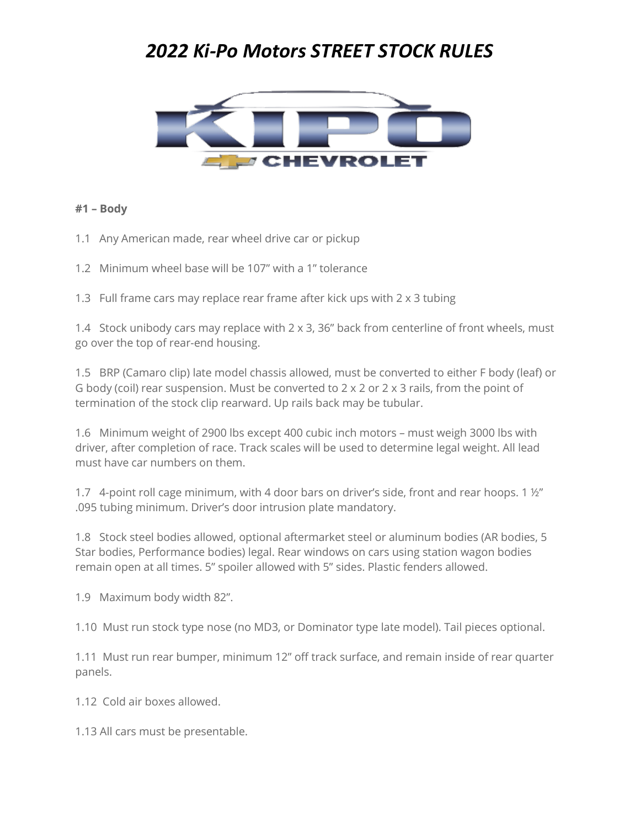# *2022 Ki-Po Motors STREET STOCK RULES*



#### **#1 – Body**

- 1.1 Any American made, rear wheel drive car or pickup
- 1.2 Minimum wheel base will be 107" with a 1" tolerance

1.3 Full frame cars may replace rear frame after kick ups with 2 x 3 tubing

1.4 Stock unibody cars may replace with  $2 \times 3$ , 36" back from centerline of front wheels, must go over the top of rear-end housing.

1.5 BRP (Camaro clip) late model chassis allowed, must be converted to either F body (leaf) or G body (coil) rear suspension. Must be converted to  $2 \times 2$  or  $2 \times 3$  rails, from the point of termination of the stock clip rearward. Up rails back may be tubular.

1.6 Minimum weight of 2900 lbs except 400 cubic inch motors – must weigh 3000 lbs with driver, after completion of race. Track scales will be used to determine legal weight. All lead must have car numbers on them.

1.7 4-point roll cage minimum, with 4 door bars on driver's side, front and rear hoops. 1 ½" .095 tubing minimum. Driver's door intrusion plate mandatory.

1.8 Stock steel bodies allowed, optional aftermarket steel or aluminum bodies (AR bodies, 5 Star bodies, Performance bodies) legal. Rear windows on cars using station wagon bodies remain open at all times. 5" spoiler allowed with 5" sides. Plastic fenders allowed.

1.9 Maximum body width 82".

1.10 Must run stock type nose (no MD3, or Dominator type late model). Tail pieces optional.

1.11 Must run rear bumper, minimum 12" off track surface, and remain inside of rear quarter panels.

1.12 Cold air boxes allowed.

1.13 All cars must be presentable.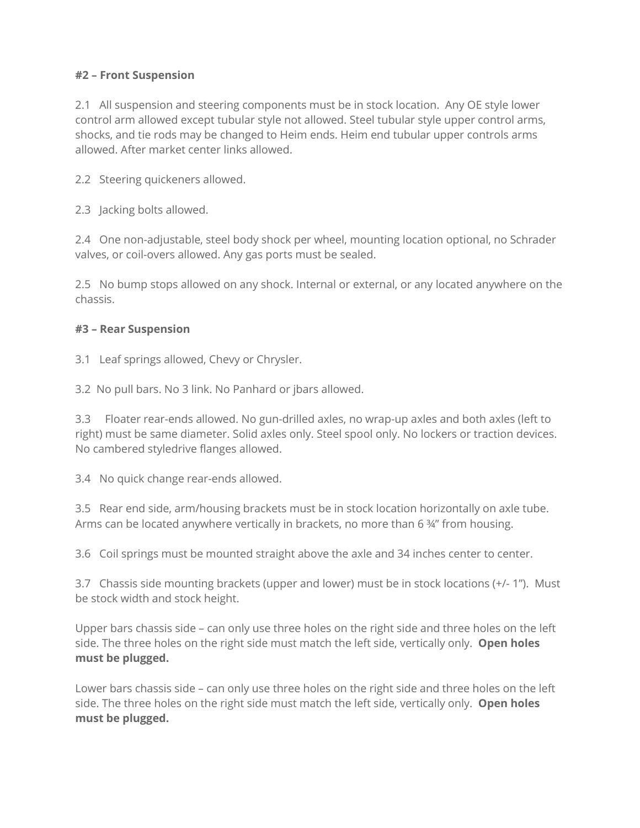## **#2 – Front Suspension**

2.1 All suspension and steering components must be in stock location. Any OE style lower control arm allowed except tubular style not allowed. Steel tubular style upper control arms, shocks, and tie rods may be changed to Heim ends. Heim end tubular upper controls arms allowed. After market center links allowed.

2.2 Steering quickeners allowed.

2.3 Jacking bolts allowed.

2.4 One non-adjustable, steel body shock per wheel, mounting location optional, no Schrader valves, or coil-overs allowed. Any gas ports must be sealed.

2.5 No bump stops allowed on any shock. Internal or external, or any located anywhere on the chassis.

#### **#3 – Rear Suspension**

3.1 Leaf springs allowed, Chevy or Chrysler.

3.2 No pull bars. No 3 link. No Panhard or jbars allowed.

3.3 Floater rear-ends allowed. No gun-drilled axles, no wrap-up axles and both axles (left to right) must be same diameter. Solid axles only. Steel spool only. No lockers or traction devices. No cambered styledrive flanges allowed.

3.4 No quick change rear-ends allowed.

3.5 Rear end side, arm/housing brackets must be in stock location horizontally on axle tube. Arms can be located anywhere vertically in brackets, no more than 6  $\frac{3}{4}$ " from housing.

3.6 Coil springs must be mounted straight above the axle and 34 inches center to center.

3.7 Chassis side mounting brackets (upper and lower) must be in stock locations (+/- 1"). Must be stock width and stock height.

Upper bars chassis side – can only use three holes on the right side and three holes on the left side. The three holes on the right side must match the left side, vertically only. **Open holes must be plugged.** 

Lower bars chassis side – can only use three holes on the right side and three holes on the left side. The three holes on the right side must match the left side, vertically only. **Open holes must be plugged.**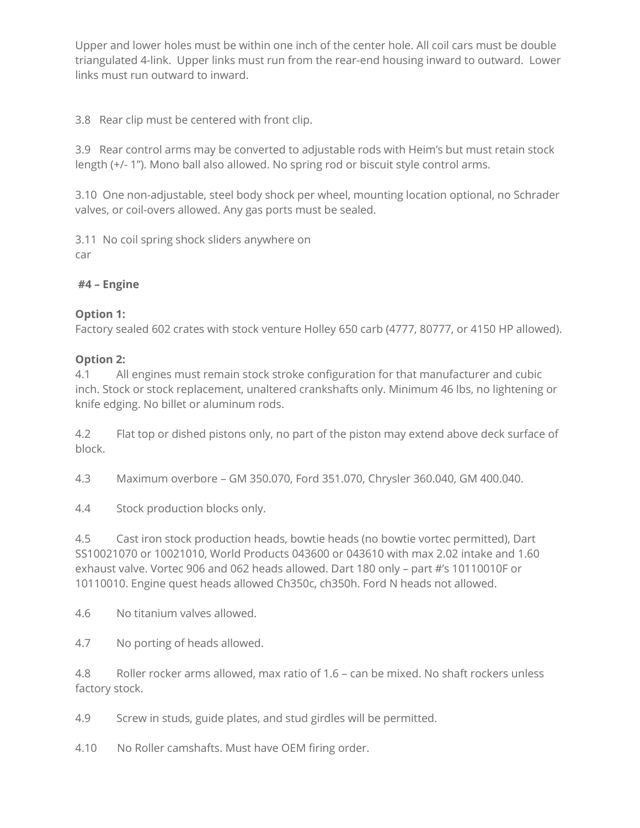Upper and lower holes must be within one inch of the center hole. All coil cars must be double triangulated 4-link. Upper links must run from the rear-end housing inward to outward. Lower links must run outward to inward.

3.8 Rear clip must be centered with front clip.

3.9 Rear control arms may be converted to adjustable rods with Heim's but must retain stock length (+/- 1"). Mono ball also allowed. No spring rod or biscuit style control arms.

3.10 One non-adjustable, steel body shock per wheel, mounting location optional, no Schrader valves, or coil-overs allowed. Any gas ports must be sealed.

3.11 No coil spring shock sliders anywhere on car

## **#4 – Engine**

## **Option 1:**

Factory sealed 602 crates with stock venture Holley 650 carb (4777, 80777, or 4150 HP allowed).

## **Option 2:**

4.1 All engines must remain stock stroke configuration for that manufacturer and cubic inch. Stock or stock replacement, unaltered crankshafts only. Minimum 46 lbs, no lightening or knife edging. No billet or aluminum rods.

4.2 Flat top or dished pistons only, no part of the piston may extend above deck surface of block.

4.3 Maximum overbore – GM 350.070, Ford 351.070, Chrysler 360.040, GM 400.040.

4.4 Stock production blocks only.

4.5 Cast iron stock production heads, bowtie heads (no bowtie vortec permitted), Dart SS10021070 or 10021010, World Products 043600 or 043610 with max 2.02 intake and 1.60 exhaust valve. Vortec 906 and 062 heads allowed. Dart 180 only – part #'s 10110010F or 10110010. Engine quest heads allowed Ch350c, ch350h. Ford N heads not allowed.

4.6 No titanium valves allowed.

4.7 No porting of heads allowed.

4.8 Roller rocker arms allowed, max ratio of 1.6 – can be mixed. No shaft rockers unless factory stock.

4.9 Screw in studs, guide plates, and stud girdles will be permitted.

4.10 No Roller camshafts. Must have OEM firing order.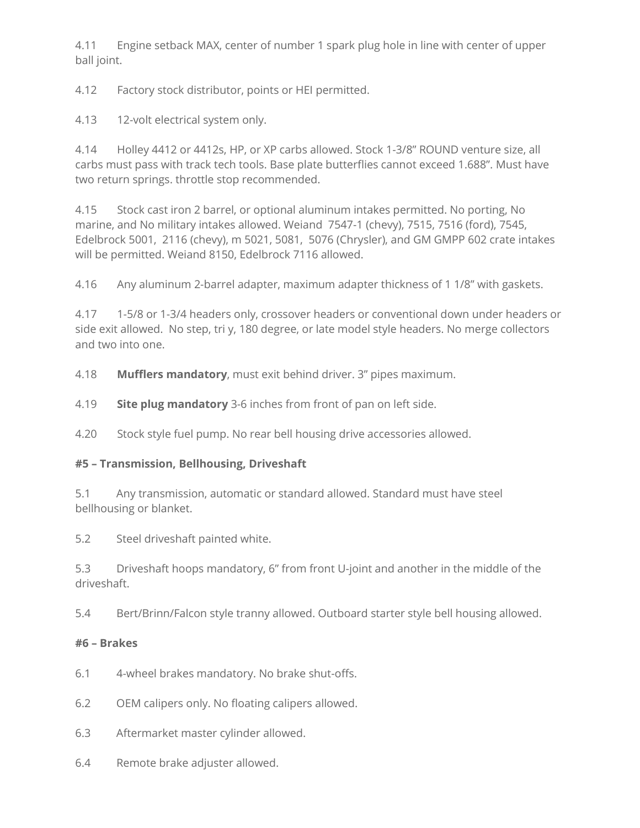4.11 Engine setback MAX, center of number 1 spark plug hole in line with center of upper ball joint.

4.12 Factory stock distributor, points or HEI permitted.

4.13 12-volt electrical system only.

4.14 Holley 4412 or 4412s, HP, or XP carbs allowed. Stock 1-3/8" ROUND venture size, all carbs must pass with track tech tools. Base plate butterflies cannot exceed 1.688". Must have two return springs. throttle stop recommended.

4.15 Stock cast iron 2 barrel, or optional aluminum intakes permitted. No porting, No marine, and No military intakes allowed. Weiand 7547-1 (chevy), 7515, 7516 (ford), 7545, Edelbrock 5001, 2116 (chevy), m 5021, 5081, 5076 (Chrysler), and GM GMPP 602 crate intakes will be permitted. Weiand 8150, Edelbrock 7116 allowed.

4.16 Any aluminum 2-barrel adapter, maximum adapter thickness of 1 1/8" with gaskets.

4.17 1-5/8 or 1-3/4 headers only, crossover headers or conventional down under headers or side exit allowed. No step, tri y, 180 degree, or late model style headers. No merge collectors and two into one.

4.18 **Mufflers mandatory**, must exit behind driver. 3" pipes maximum.

4.19 **Site plug mandatory** 3-6 inches from front of pan on left side.

4.20 Stock style fuel pump. No rear bell housing drive accessories allowed.

# **#5 – Transmission, Bellhousing, Driveshaft**

5.1 Any transmission, automatic or standard allowed. Standard must have steel bellhousing or blanket.

5.2 Steel driveshaft painted white.

5.3 Driveshaft hoops mandatory, 6" from front U-joint and another in the middle of the driveshaft.

5.4 Bert/Brinn/Falcon style tranny allowed. Outboard starter style bell housing allowed.

# **#6 – Brakes**

- 6.1 4-wheel brakes mandatory. No brake shut-offs.
- 6.2 OEM calipers only. No floating calipers allowed.
- 6.3 Aftermarket master cylinder allowed.
- 6.4 Remote brake adjuster allowed.